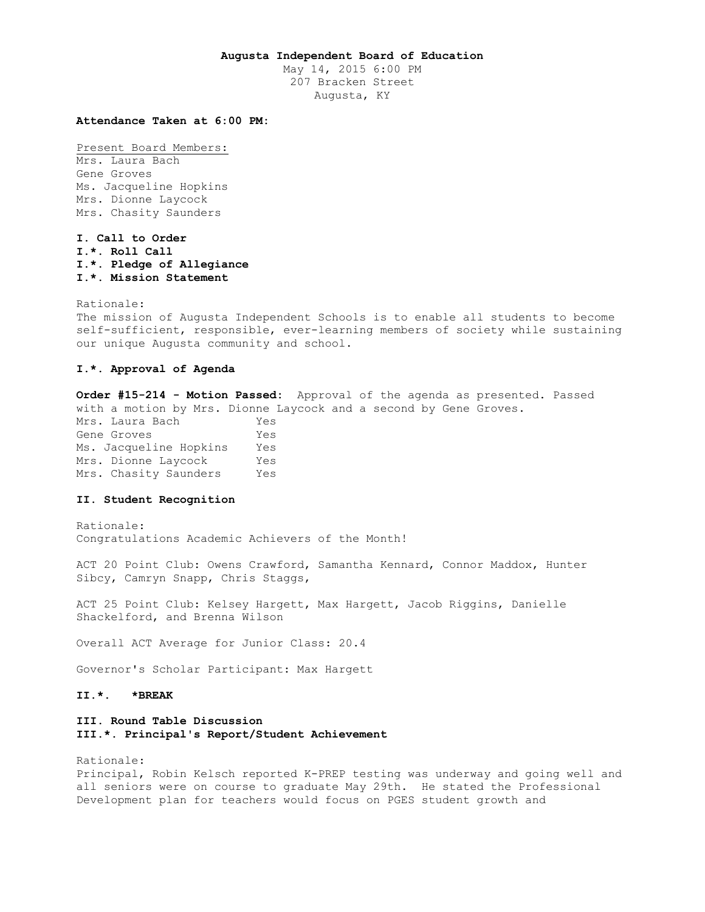## **Augusta Independent Board of Education**

May 14, 2015 6:00 PM 207 Bracken Street Augusta, KY

### **Attendance Taken at 6:00 PM:**

Present Board Members: Mrs. Laura Bach Gene Groves Ms. Jacqueline Hopkins Mrs. Dionne Laycock Mrs. Chasity Saunders

**I. Call to Order I.\*. Roll Call I.\*. Pledge of Allegiance I.\*. Mission Statement** 

Rationale: The mission of Augusta Independent Schools is to enable all students to become self-sufficient, responsible, ever-learning members of society while sustaining our unique Augusta community and school.

## **I.\*. Approval of Agenda**

**Order #15-214 - Motion Passed:** Approval of the agenda as presented. Passed with a motion by Mrs. Dionne Laycock and a second by Gene Groves. Mrs. Laura Bach Yes Gene Groves Yes Ms. Jacqueline Hopkins Yes Mrs. Dionne Laycock Yes Mrs. Chasity Saunders Yes

### **II. Student Recognition**

Rationale: Congratulations Academic Achievers of the Month!

ACT 20 Point Club: Owens Crawford, Samantha Kennard, Connor Maddox, Hunter Sibcy, Camryn Snapp, Chris Staggs,

ACT 25 Point Club: Kelsey Hargett, Max Hargett, Jacob Riggins, Danielle Shackelford, and Brenna Wilson

Overall ACT Average for Junior Class: 20.4

Governor's Scholar Participant: Max Hargett

### **II.\*. \*BREAK**

## **III. Round Table Discussion III.\*. Principal's Report/Student Achievement**

Rationale:

Principal, Robin Kelsch reported K-PREP testing was underway and going well and all seniors were on course to graduate May 29th. He stated the Professional Development plan for teachers would focus on PGES student growth and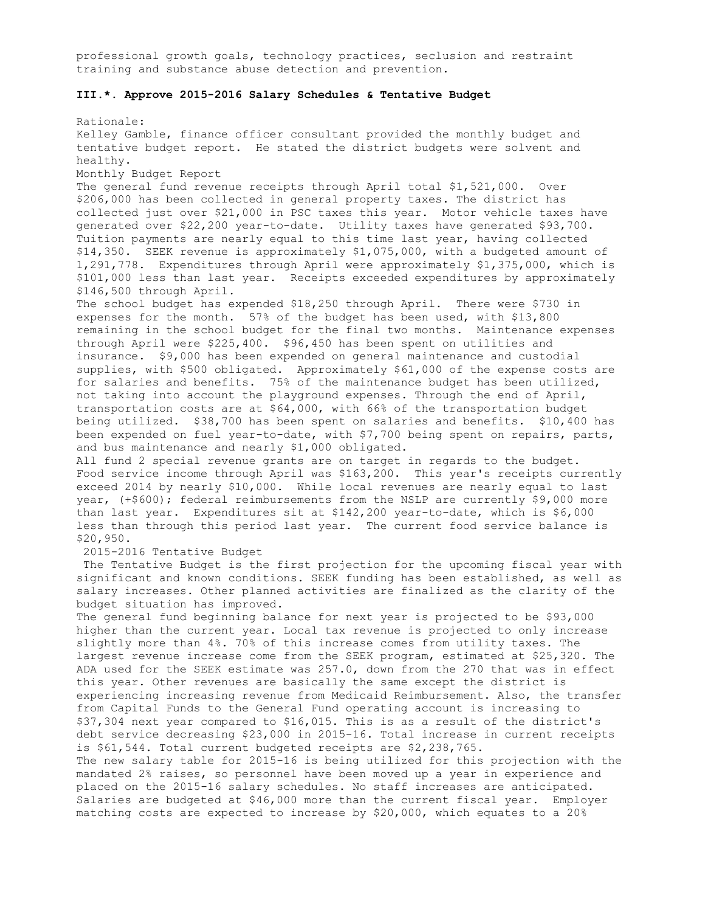professional growth goals, technology practices, seclusion and restraint training and substance abuse detection and prevention.

# **III.\*. Approve 2015-2016 Salary Schedules & Tentative Budget**

Rationale: Kelley Gamble, finance officer consultant provided the monthly budget and tentative budget report. He stated the district budgets were solvent and healthy. Monthly Budget Report The general fund revenue receipts through April total \$1,521,000. Over \$206,000 has been collected in general property taxes. The district has collected just over \$21,000 in PSC taxes this year. Motor vehicle taxes have generated over \$22,200 year-to-date. Utility taxes have generated \$93,700. Tuition payments are nearly equal to this time last year, having collected \$14,350. SEEK revenue is approximately \$1,075,000, with a budgeted amount of 1,291,778. Expenditures through April were approximately \$1,375,000, which is \$101,000 less than last year. Receipts exceeded expenditures by approximately \$146,500 through April. The school budget has expended \$18,250 through April. There were \$730 in expenses for the month. 57% of the budget has been used, with \$13,800 remaining in the school budget for the final two months. Maintenance expenses through April were \$225,400. \$96,450 has been spent on utilities and insurance. \$9,000 has been expended on general maintenance and custodial supplies, with \$500 obligated. Approximately \$61,000 of the expense costs are for salaries and benefits. 75% of the maintenance budget has been utilized, not taking into account the playground expenses. Through the end of April, transportation costs are at \$64,000, with 66% of the transportation budget being utilized. \$38,700 has been spent on salaries and benefits. \$10,400 has been expended on fuel year-to-date, with \$7,700 being spent on repairs, parts, and bus maintenance and nearly \$1,000 obligated. All fund 2 special revenue grants are on target in regards to the budget. Food service income through April was \$163,200. This year's receipts currently exceed 2014 by nearly \$10,000. While local revenues are nearly equal to last year, (+\$600); federal reimbursements from the NSLP are currently \$9,000 more than last year. Expenditures sit at \$142,200 year-to-date, which is \$6,000 less than through this period last year. The current food service balance is \$20,950. 2015-2016 Tentative Budget The Tentative Budget is the first projection for the upcoming fiscal year with significant and known conditions. SEEK funding has been established, as well as salary increases. Other planned activities are finalized as the clarity of the budget situation has improved. The general fund beginning balance for next year is projected to be \$93,000 higher than the current year. Local tax revenue is projected to only increase slightly more than 4%. 70% of this increase comes from utility taxes. The largest revenue increase come from the SEEK program, estimated at \$25,320. The ADA used for the SEEK estimate was 257.0, down from the 270 that was in effect this year. Other revenues are basically the same except the district is experiencing increasing revenue from Medicaid Reimbursement. Also, the transfer from Capital Funds to the General Fund operating account is increasing to \$37,304 next year compared to \$16,015. This is as a result of the district's debt service decreasing \$23,000 in 2015-16. Total increase in current receipts is \$61,544. Total current budgeted receipts are \$2,238,765. The new salary table for 2015-16 is being utilized for this projection with the mandated 2% raises, so personnel have been moved up a year in experience and placed on the 2015-16 salary schedules. No staff increases are anticipated. Salaries are budgeted at \$46,000 more than the current fiscal year. Employer matching costs are expected to increase by \$20,000, which equates to a 20%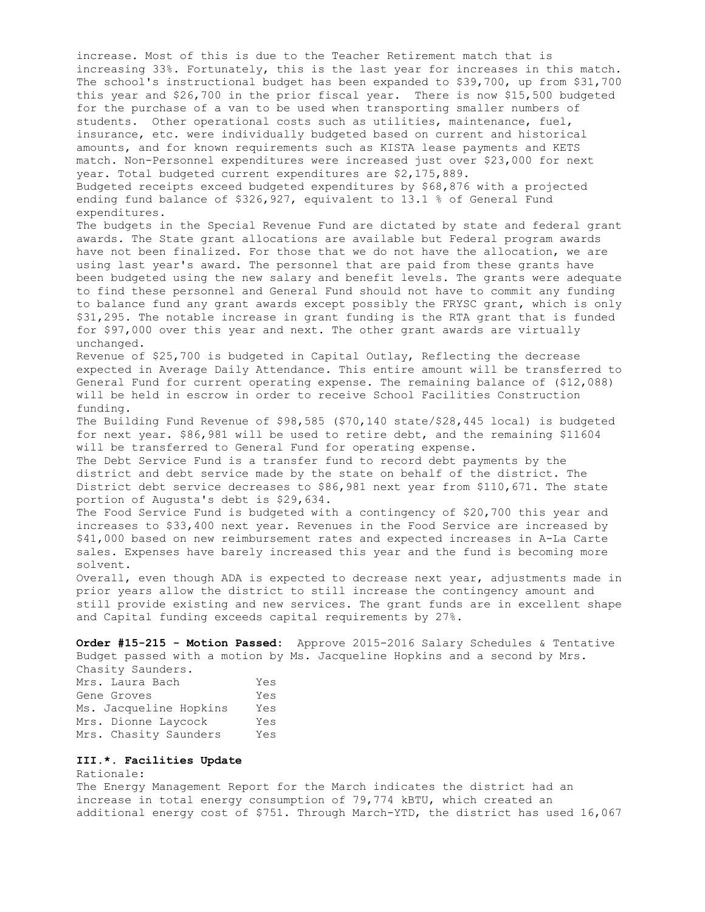increase. Most of this is due to the Teacher Retirement match that is increasing 33%. Fortunately, this is the last year for increases in this match. The school's instructional budget has been expanded to \$39,700, up from \$31,700 this year and \$26,700 in the prior fiscal year. There is now \$15,500 budgeted for the purchase of a van to be used when transporting smaller numbers of students. Other operational costs such as utilities, maintenance, fuel, insurance, etc. were individually budgeted based on current and historical amounts, and for known requirements such as KISTA lease payments and KETS match. Non-Personnel expenditures were increased just over \$23,000 for next year. Total budgeted current expenditures are \$2,175,889. Budgeted receipts exceed budgeted expenditures by \$68,876 with a projected ending fund balance of \$326,927, equivalent to 13.1 % of General Fund expenditures. The budgets in the Special Revenue Fund are dictated by state and federal grant awards. The State grant allocations are available but Federal program awards have not been finalized. For those that we do not have the allocation, we are using last year's award. The personnel that are paid from these grants have been budgeted using the new salary and benefit levels. The grants were adequate to find these personnel and General Fund should not have to commit any funding to balance fund any grant awards except possibly the FRYSC grant, which is only \$31,295. The notable increase in grant funding is the RTA grant that is funded for \$97,000 over this year and next. The other grant awards are virtually unchanged. Revenue of \$25,700 is budgeted in Capital Outlay, Reflecting the decrease expected in Average Daily Attendance. This entire amount will be transferred to General Fund for current operating expense. The remaining balance of (\$12,088) will be held in escrow in order to receive School Facilities Construction funding. The Building Fund Revenue of \$98,585 (\$70,140 state/\$28,445 local) is budgeted for next year. \$86,981 will be used to retire debt, and the remaining \$11604 will be transferred to General Fund for operating expense. The Debt Service Fund is a transfer fund to record debt payments by the district and debt service made by the state on behalf of the district. The District debt service decreases to \$86,981 next year from \$110,671. The state portion of Augusta's debt is \$29,634. The Food Service Fund is budgeted with a contingency of \$20,700 this year and increases to \$33,400 next year. Revenues in the Food Service are increased by \$41,000 based on new reimbursement rates and expected increases in A-La Carte sales. Expenses have barely increased this year and the fund is becoming more solvent. Overall, even though ADA is expected to decrease next year, adjustments made in prior years allow the district to still increase the contingency amount and

still provide existing and new services. The grant funds are in excellent shape and Capital funding exceeds capital requirements by 27%.

**Order #15-215 - Motion Passed:** Approve 2015-2016 Salary Schedules & Tentative Budget passed with a motion by Ms. Jacqueline Hopkins and a second by Mrs. Chasity Saunders.

| $\frac{1}{2}$          |     |
|------------------------|-----|
| Mrs. Laura Bach        | Yes |
| Gene Groves            | Yes |
| Ms. Jacqueline Hopkins | Yes |
| Mrs. Dionne Laycock    | Yes |
| Mrs. Chasity Saunders  | Yes |

## **III.\*. Facilities Update**

Rationale: The Energy Management Report for the March indicates the district had an increase in total energy consumption of 79,774 kBTU, which created an additional energy cost of \$751. Through March-YTD, the district has used 16,067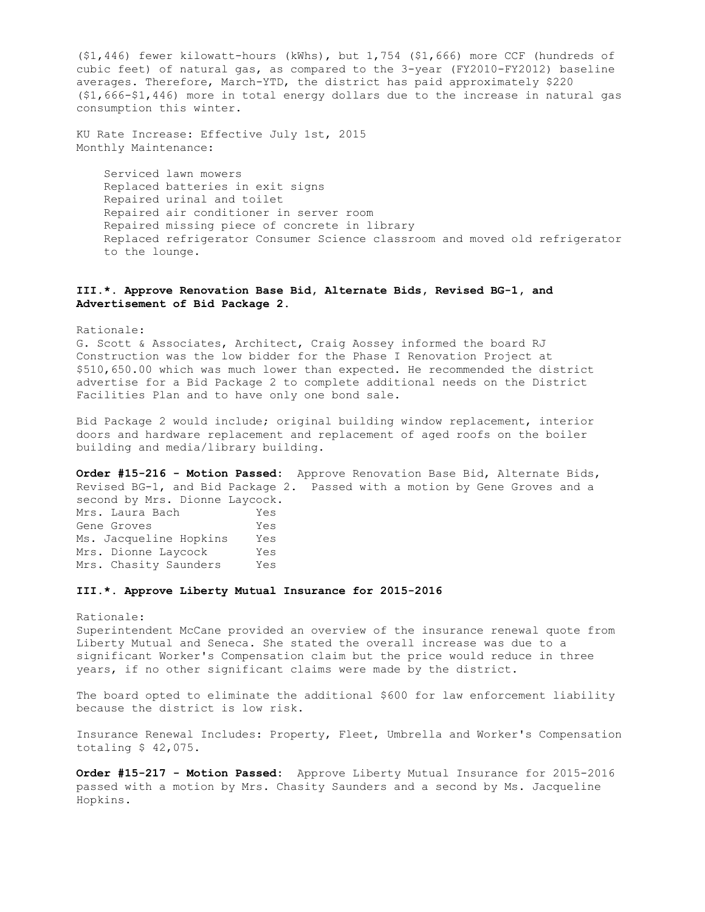(\$1,446) fewer kilowatt-hours (kWhs), but 1,754 (\$1,666) more CCF (hundreds of cubic feet) of natural gas, as compared to the 3-year (FY2010-FY2012) baseline averages. Therefore, March-YTD, the district has paid approximately \$220 (\$1,666-\$1,446) more in total energy dollars due to the increase in natural gas consumption this winter.

KU Rate Increase: Effective July 1st, 2015 Monthly Maintenance:

 Serviced lawn mowers Replaced batteries in exit signs Repaired urinal and toilet Repaired air conditioner in server room Repaired missing piece of concrete in library Replaced refrigerator Consumer Science classroom and moved old refrigerator to the lounge.

## **III.\*. Approve Renovation Base Bid, Alternate Bids, Revised BG-1, and Advertisement of Bid Package 2.**

Rationale:

G. Scott & Associates, Architect, Craig Aossey informed the board RJ Construction was the low bidder for the Phase I Renovation Project at \$510,650.00 which was much lower than expected. He recommended the district advertise for a Bid Package 2 to complete additional needs on the District Facilities Plan and to have only one bond sale.

Bid Package 2 would include; original building window replacement, interior doors and hardware replacement and replacement of aged roofs on the boiler building and media/library building.

**Order #15-216 - Motion Passed:** Approve Renovation Base Bid, Alternate Bids, Revised BG-1, and Bid Package 2. Passed with a motion by Gene Groves and a second by Mrs. Dionne Laycock.

Mrs. Laura Bach Yes Gene Groves Tes Ms. Jacqueline Hopkins Yes Mrs. Dionne Laycock Yes<br>Mrs. Chasity Saunders Yes Mrs. Chasity Saunders

### **III.\*. Approve Liberty Mutual Insurance for 2015-2016**

Rationale:

Superintendent McCane provided an overview of the insurance renewal quote from Liberty Mutual and Seneca. She stated the overall increase was due to a significant Worker's Compensation claim but the price would reduce in three years, if no other significant claims were made by the district.

The board opted to eliminate the additional \$600 for law enforcement liability because the district is low risk.

Insurance Renewal Includes: Property, Fleet, Umbrella and Worker's Compensation totaling \$ 42,075.

**Order #15-217 - Motion Passed:** Approve Liberty Mutual Insurance for 2015-2016 passed with a motion by Mrs. Chasity Saunders and a second by Ms. Jacqueline Hopkins.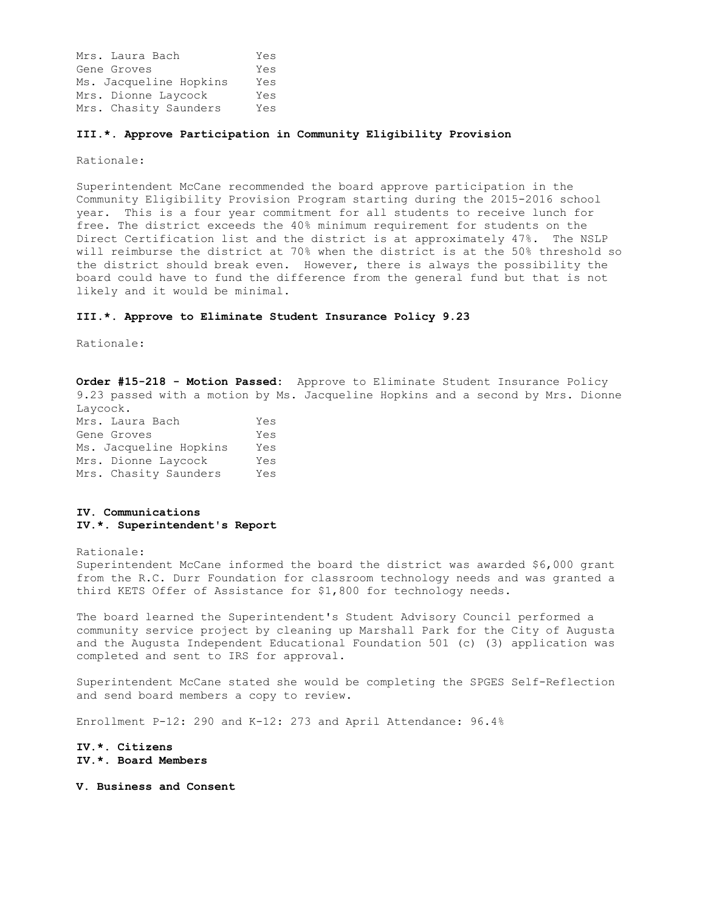Mrs. Laura Bach Yes Gene Groves Tes Ms. Jacqueline Hopkins Yes Mrs. Dionne Laycock Yes Mrs. Chasity Saunders Yes

### **III.\*. Approve Participation in Community Eligibility Provision**

Rationale:

Superintendent McCane recommended the board approve participation in the Community Eligibility Provision Program starting during the 2015-2016 school year. This is a four year commitment for all students to receive lunch for free. The district exceeds the 40% minimum requirement for students on the Direct Certification list and the district is at approximately 47%. The NSLP will reimburse the district at 70% when the district is at the 50% threshold so the district should break even. However, there is always the possibility the board could have to fund the difference from the general fund but that is not likely and it would be minimal.

#### **III.\*. Approve to Eliminate Student Insurance Policy 9.23**

Rationale:

**Order #15-218 - Motion Passed:** Approve to Eliminate Student Insurance Policy 9.23 passed with a motion by Ms. Jacqueline Hopkins and a second by Mrs. Dionne Laycock. Mrs. Laura Bach Yes

Gene Groves Tes Ms. Jacqueline Hopkins Yes Mrs. Dionne Laycock Yes Mrs. Chasity Saunders Yes

### **IV. Communications IV.\*. Superintendent's Report**

Rationale:

Superintendent McCane informed the board the district was awarded \$6,000 grant from the R.C. Durr Foundation for classroom technology needs and was granted a third KETS Offer of Assistance for \$1,800 for technology needs.

The board learned the Superintendent's Student Advisory Council performed a community service project by cleaning up Marshall Park for the City of Augusta and the Augusta Independent Educational Foundation 501 (c) (3) application was completed and sent to IRS for approval.

Superintendent McCane stated she would be completing the SPGES Self-Reflection and send board members a copy to review.

Enrollment P-12: 290 and K-12: 273 and April Attendance: 96.4%

**IV.\*. Citizens IV.\*. Board Members** 

**V. Business and Consent**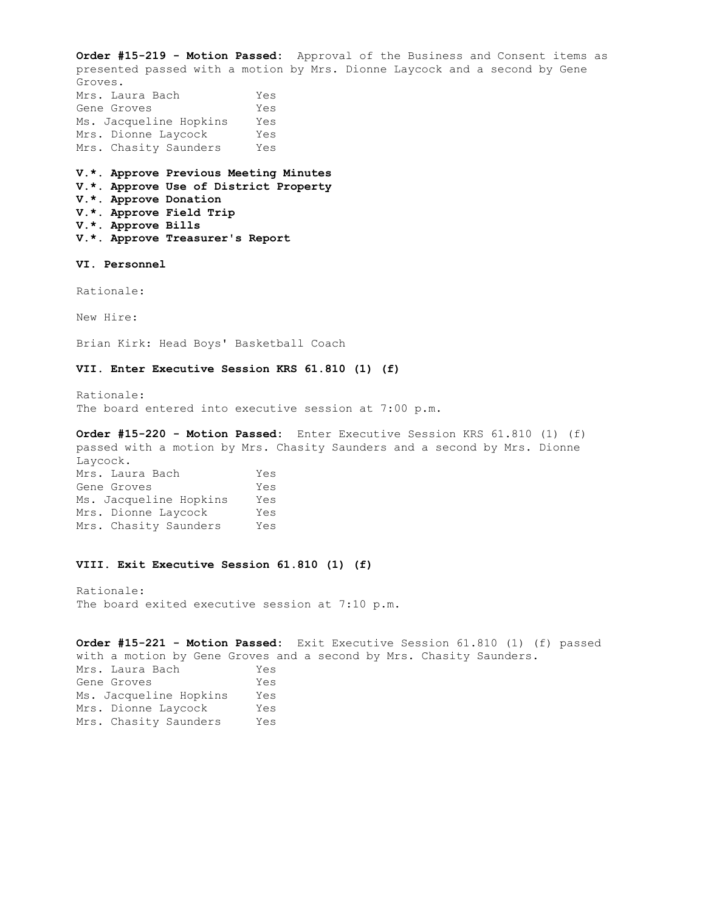**Order #15-219 - Motion Passed:** Approval of the Business and Consent items as presented passed with a motion by Mrs. Dionne Laycock and a second by Gene Groves. Mrs. Laura Bach Yes Gene Groves Tes Ms. Jacqueline Hopkins Yes Mrs. Dionne Laycock Yes Mrs. Chasity Saunders Yes **V.\*. Approve Previous Meeting Minutes V.\*. Approve Use of District Property V.\*. Approve Donation V.\*. Approve Field Trip V.\*. Approve Bills V.\*. Approve Treasurer's Report VI. Personnel**  Rationale: New Hire: Brian Kirk: Head Boys' Basketball Coach **VII. Enter Executive Session KRS 61.810 (1) (f)**  Rationale: The board entered into executive session at 7:00 p.m. **Order #15-220 - Motion Passed:** Enter Executive Session KRS 61.810 (1) (f) passed with a motion by Mrs. Chasity Saunders and a second by Mrs. Dionne Laycock. Mrs. Laura Bach Yes Gene Groves Tes Ms. Jacqueline Hopkins Yes Mrs. Dionne Laycock Yes Mrs. Chasity Saunders Yes **VIII. Exit Executive Session 61.810 (1) (f)**  Rationale: The board exited executive session at 7:10 p.m. **Order #15-221 - Motion Passed:** Exit Executive Session 61.810 (1) (f) passed

with a motion by Gene Groves and a second by Mrs. Chasity Saunders. Mrs. Laura Bach Yes Gene Groves Tes Ms. Jacqueline Hopkins Yes Mrs. Dionne Laycock Yes Mrs. Chasity Saunders Yes